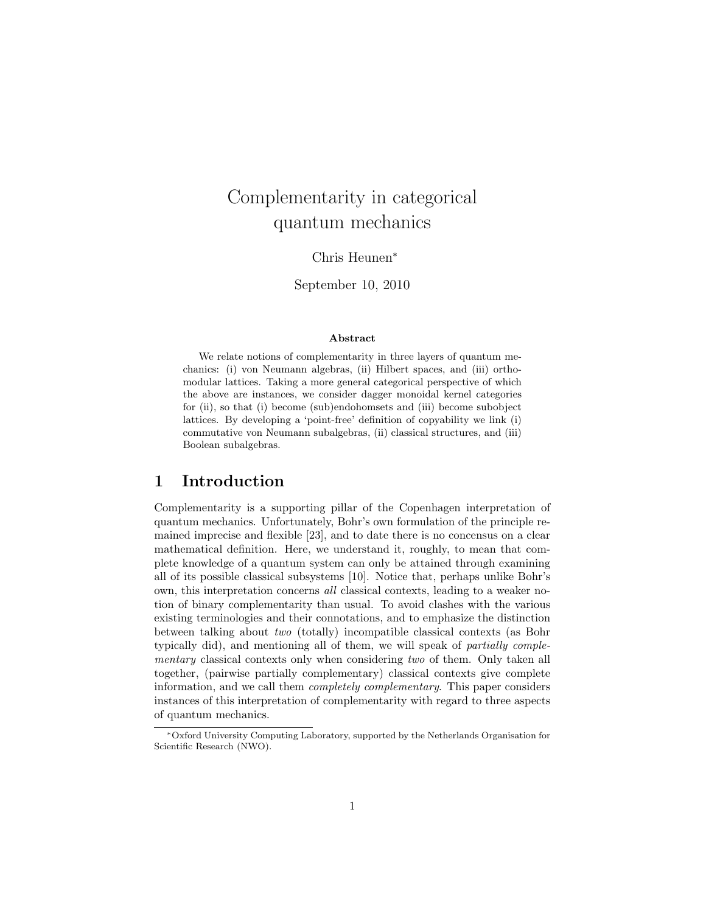# Complementarity in categorical quantum mechanics

Chris Heunen<sup>∗</sup>

September 10, 2010

#### Abstract

We relate notions of complementarity in three layers of quantum mechanics: (i) von Neumann algebras, (ii) Hilbert spaces, and (iii) orthomodular lattices. Taking a more general categorical perspective of which the above are instances, we consider dagger monoidal kernel categories for (ii), so that (i) become (sub)endohomsets and (iii) become subobject lattices. By developing a 'point-free' definition of copyability we link (i) commutative von Neumann subalgebras, (ii) classical structures, and (iii) Boolean subalgebras.

# 1 Introduction

Complementarity is a supporting pillar of the Copenhagen interpretation of quantum mechanics. Unfortunately, Bohr's own formulation of the principle remained imprecise and flexible [23], and to date there is no concensus on a clear mathematical definition. Here, we understand it, roughly, to mean that complete knowledge of a quantum system can only be attained through examining all of its possible classical subsystems [10]. Notice that, perhaps unlike Bohr's own, this interpretation concerns all classical contexts, leading to a weaker notion of binary complementarity than usual. To avoid clashes with the various existing terminologies and their connotations, and to emphasize the distinction between talking about two (totally) incompatible classical contexts (as Bohr typically did), and mentioning all of them, we will speak of partially complementary classical contexts only when considering two of them. Only taken all together, (pairwise partially complementary) classical contexts give complete information, and we call them completely complementary. This paper considers instances of this interpretation of complementarity with regard to three aspects of quantum mechanics.

<sup>∗</sup>Oxford University Computing Laboratory, supported by the Netherlands Organisation for Scientific Research (NWO).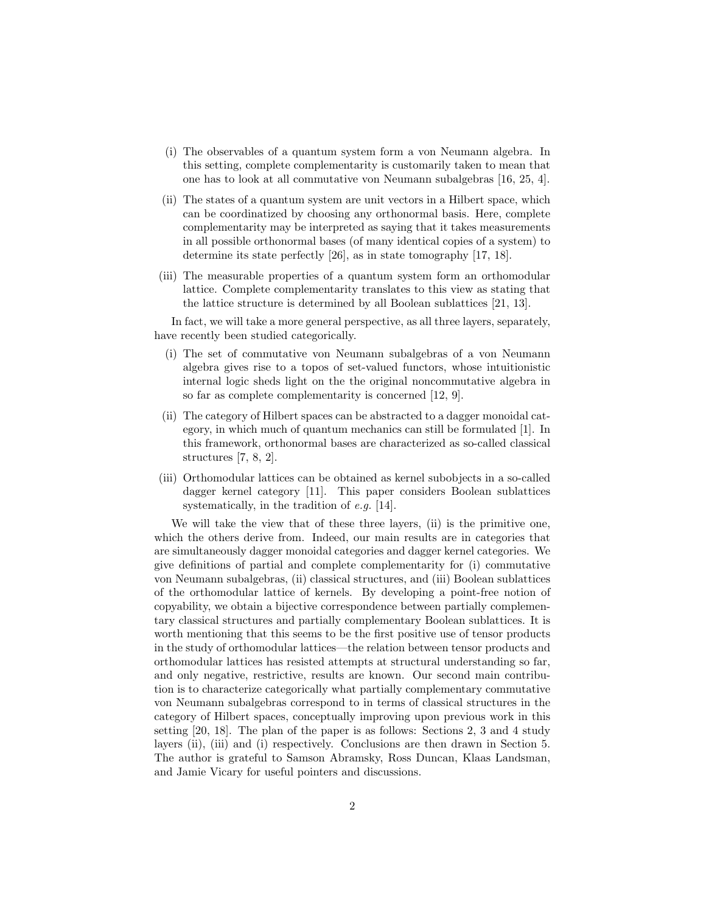- (i) The observables of a quantum system form a von Neumann algebra. In this setting, complete complementarity is customarily taken to mean that one has to look at all commutative von Neumann subalgebras [16, 25, 4].
- (ii) The states of a quantum system are unit vectors in a Hilbert space, which can be coordinatized by choosing any orthonormal basis. Here, complete complementarity may be interpreted as saying that it takes measurements in all possible orthonormal bases (of many identical copies of a system) to determine its state perfectly [26], as in state tomography [17, 18].
- (iii) The measurable properties of a quantum system form an orthomodular lattice. Complete complementarity translates to this view as stating that the lattice structure is determined by all Boolean sublattices [21, 13].

In fact, we will take a more general perspective, as all three layers, separately, have recently been studied categorically.

- (i) The set of commutative von Neumann subalgebras of a von Neumann algebra gives rise to a topos of set-valued functors, whose intuitionistic internal logic sheds light on the the original noncommutative algebra in so far as complete complementarity is concerned [12, 9].
- (ii) The category of Hilbert spaces can be abstracted to a dagger monoidal category, in which much of quantum mechanics can still be formulated [1]. In this framework, orthonormal bases are characterized as so-called classical structures [7, 8, 2].
- (iii) Orthomodular lattices can be obtained as kernel subobjects in a so-called dagger kernel category [11]. This paper considers Boolean sublattices systematically, in the tradition of e.g. [14].

We will take the view that of these three layers, (ii) is the primitive one, which the others derive from. Indeed, our main results are in categories that are simultaneously dagger monoidal categories and dagger kernel categories. We give definitions of partial and complete complementarity for (i) commutative von Neumann subalgebras, (ii) classical structures, and (iii) Boolean sublattices of the orthomodular lattice of kernels. By developing a point-free notion of copyability, we obtain a bijective correspondence between partially complementary classical structures and partially complementary Boolean sublattices. It is worth mentioning that this seems to be the first positive use of tensor products in the study of orthomodular lattices—the relation between tensor products and orthomodular lattices has resisted attempts at structural understanding so far, and only negative, restrictive, results are known. Our second main contribution is to characterize categorically what partially complementary commutative von Neumann subalgebras correspond to in terms of classical structures in the category of Hilbert spaces, conceptually improving upon previous work in this setting [20, 18]. The plan of the paper is as follows: Sections 2, 3 and 4 study layers (ii), (iii) and (i) respectively. Conclusions are then drawn in Section 5. The author is grateful to Samson Abramsky, Ross Duncan, Klaas Landsman, and Jamie Vicary for useful pointers and discussions.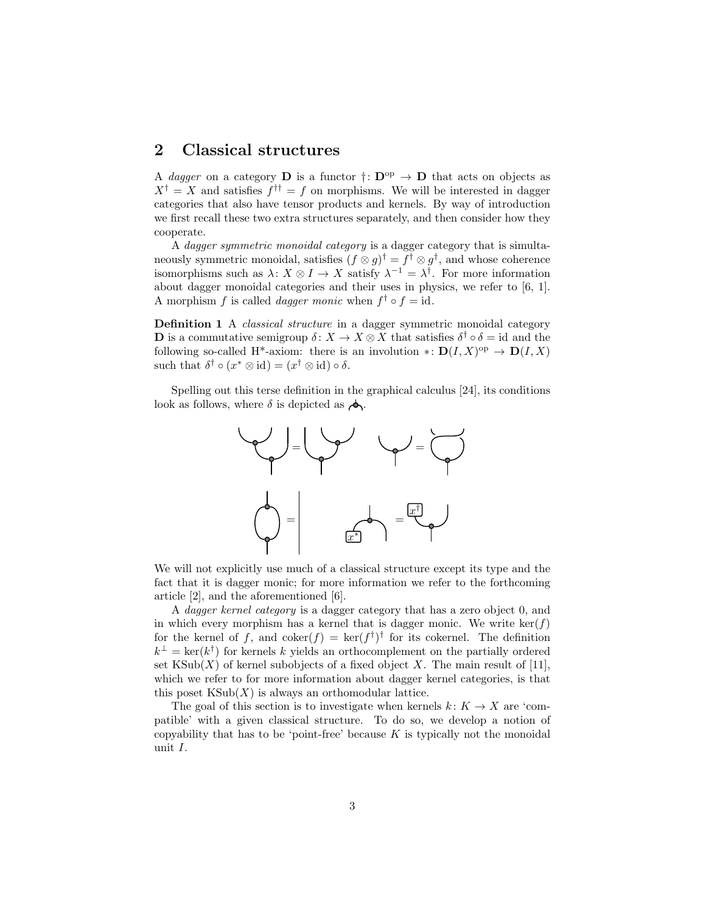### 2 Classical structures

A dagger on a category D is a functor  $\dagger: D^{op} \to D$  that acts on objects as  $X^{\dagger} = X$  and satisfies  $f^{\dagger \dagger} = f$  on morphisms. We will be interested in dagger categories that also have tensor products and kernels. By way of introduction we first recall these two extra structures separately, and then consider how they cooperate.

A dagger symmetric monoidal category is a dagger category that is simultaneously symmetric monoidal, satisfies  $(f \otimes g)^\dagger = f^\dagger \otimes g^\dagger$ , and whose coherence isomorphisms such as  $\lambda: X \otimes I \to X$  satisfy  $\lambda^{-1} = \lambda^{\dagger}$ . For more information about dagger monoidal categories and their uses in physics, we refer to [6, 1]. A morphism f is called *dagger monic* when  $f^{\dagger} \circ f = id$ .

Definition 1 A *classical structure* in a dagger symmetric monoidal category **D** is a commutative semigroup  $\delta: X \to X \otimes X$  that satisfies  $\delta^{\dagger} \circ \delta = id$  and the following so-called H<sup>\*</sup>-axiom: there is an involution  $\ast: D(I, X)^{op} \to D(I, X)$ such that  $\delta^{\dagger} \circ (x^* \otimes id) = (x^{\dagger} \otimes id) \circ \delta.$ 

Spelling out this terse definition in the graphical calculus [24], its conditions look as follows, where  $\delta$  is depicted as  $\phi$ .



We will not explicitly use much of a classical structure except its type and the fact that it is dagger monic; for more information we refer to the forthcoming article [2], and the aforementioned [6].

A dagger kernel category is a dagger category that has a zero object 0, and in which every morphism has a kernel that is dagger monic. We write ker( $f$ ) for the kernel of f, and  $\text{coker}(f) = \text{ker}(f^{\dagger})^{\dagger}$  for its cokernel. The definition  $k^{\perp} = \text{ker}(k^{\dagger})$  for kernels k yields an orthocomplement on the partially ordered set  $\text{KSub}(X)$  of kernel subobjects of a fixed object X. The main result of [11], which we refer to for more information about dagger kernel categories, is that this poset  $\text{KSub}(X)$  is always an orthomodular lattice.

The goal of this section is to investigate when kernels  $k: K \to X$  are 'compatible' with a given classical structure. To do so, we develop a notion of copyability that has to be 'point-free' because  $K$  is typically not the monoidal unit I.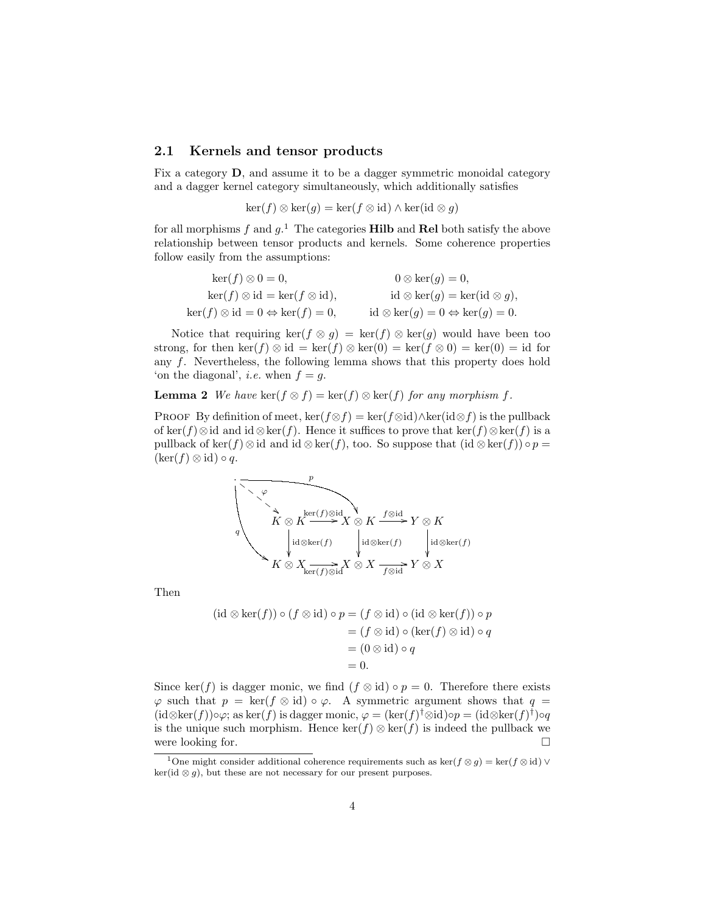#### 2.1 Kernels and tensor products

Fix a category D, and assume it to be a dagger symmetric monoidal category and a dagger kernel category simultaneously, which additionally satisfies

$$
\ker(f) \otimes \ker(g) = \ker(f \otimes id) \wedge \ker(id \otimes g)
$$

for all morphisms f and  $g$ <sup>1</sup>. The categories **Hilb** and **Rel** both satisfy the above relationship between tensor products and kernels. Some coherence properties follow easily from the assumptions:

| $\ker(f) \otimes 0 = 0,$                              | $0 \otimes \ker(g) = 0,$                              |
|-------------------------------------------------------|-------------------------------------------------------|
| $\ker(f) \otimes id = \ker(f \otimes id),$            | $id \otimes \ker(g) = \ker(id \otimes g),$            |
| $\ker(f) \otimes id = 0 \Leftrightarrow \ker(f) = 0,$ | $id \otimes \ker(g) = 0 \Leftrightarrow \ker(g) = 0.$ |

Notice that requiring ker(f  $\otimes$  g) = ker(f)  $\otimes$  ker(g) would have been too strong, for then ker(f) ⊗ id = ker(f) ⊗ ker(0) = ker(f ⊗ 0) = ker(0) = id for any f. Nevertheless, the following lemma shows that this property does hold 'on the diagonal', *i.e.* when  $f = g$ .

**Lemma 2** We have ker $(f \otimes f) = \ker(f) \otimes \ker(f)$  for any morphism f.

PROOF By definition of meet,  $\ker(f \otimes f) = \ker(f \otimes id) \wedge \ker(\mathrm{id} \otimes f)$  is the pullback of ker(f)⊗id and id ⊗ker(f). Hence it suffices to prove that ker(f)⊗ker(f) is a pullback of ker(f) ⊗ id and id ⊗ ker(f), too. So suppose that  $(id \otimes \ker(f)) \circ p =$  $(\ker(f) \otimes id) \circ q.$ 

$$
K \otimes X \xrightarrow{p} K \otimes X \otimes K
$$
  
\n
$$
K \otimes X \xrightarrow{\ker(f) \otimes id} X \otimes K \xrightarrow{f \otimes id} Y \otimes K
$$
  
\n
$$
K \otimes X \xrightarrow{\ker(f) \otimes id} X \otimes X \xrightarrow{f \otimes id} Y \otimes X
$$

Then

$$
(\mathrm{id} \otimes \mathrm{ker}(f)) \circ (f \otimes \mathrm{id}) \circ p = (f \otimes \mathrm{id}) \circ (\mathrm{id} \otimes \mathrm{ker}(f)) \circ p
$$

$$
= (f \otimes \mathrm{id}) \circ (\mathrm{ker}(f) \otimes \mathrm{id}) \circ q
$$

$$
= (0 \otimes \mathrm{id}) \circ q
$$

$$
= 0.
$$

Since ker(f) is dagger monic, we find  $(f \otimes id) \circ p = 0$ . Therefore there exists  $\varphi$  such that  $p = \ker(f \otimes id) \circ \varphi$ . A symmetric argument shows that  $q =$  $(id \otimes \ker(f)) \circ \varphi$ ; as  $\ker(f)$  is dagger monic,  $\varphi = (\ker(f)^{\dagger} \otimes id) \circ p = (id \otimes \ker(f)^{\dagger}) \circ q$ is the unique such morphism. Hence  $\ker(f) \otimes \ker(f)$  is indeed the pullback we were looking for.  $\Box$ 

<sup>&</sup>lt;sup>1</sup>One might consider additional coherence requirements such as ker $(f \otimes g) = \ker(f \otimes id) \vee$  $ker(id \otimes g)$ , but these are not necessary for our present purposes.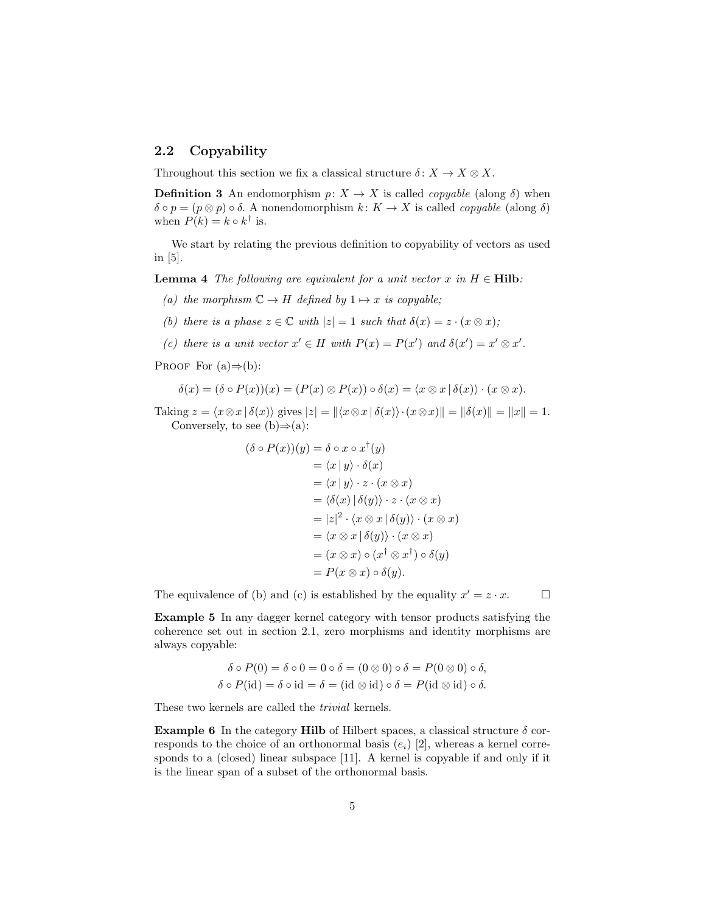### 2.2 Copyability

Throughout this section we fix a classical structure  $\delta: X \to X \otimes X$ .

**Definition 3** An endomorphism  $p: X \to X$  is called *copyable* (along  $\delta$ ) when  $\delta \circ p = (p \otimes p) \circ \delta$ . A nonendomorphism  $k: K \to X$  is called *copyable* (along  $\delta$ ) when  $P(k) = k \circ k^{\dagger}$  is.

We start by relating the previous definition to copyability of vectors as used in [5].

**Lemma 4** The following are equivalent for a unit vector x in  $H \in \textbf{Hilb}:$ 

- (a) the morphism  $\mathbb{C} \to H$  defined by  $1 \mapsto x$  is copyable;
- (b) there is a phase  $z \in \mathbb{C}$  with  $|z| = 1$  such that  $\delta(x) = z \cdot (x \otimes x)$ ;
- (c) there is a unit vector  $x' \in H$  with  $P(x) = P(x')$  and  $\delta(x') = x' \otimes x'$ .

PROOF For  $(a) \Rightarrow (b)$ :

$$
\delta(x) = (\delta \circ P(x))(x) = (P(x) \otimes P(x)) \circ \delta(x) = \langle x \otimes x \, | \, \delta(x) \rangle \cdot (x \otimes x).
$$

Taking  $z = \langle x \otimes x | \delta(x) \rangle$  gives  $|z| = ||\langle x \otimes x | \delta(x) \rangle \cdot (x \otimes x)|| = ||\delta(x)|| = ||x|| = 1.$ Conversely, to see  $(b) \Rightarrow (a)$ :

$$
(\delta \circ P(x))(y) = \delta \circ x \circ x^{\dagger}(y)
$$
  
\n
$$
= \langle x | y \rangle \cdot \delta(x)
$$
  
\n
$$
= \langle x | y \rangle \cdot z \cdot (x \otimes x)
$$
  
\n
$$
= \langle \delta(x) | \delta(y) \rangle \cdot z \cdot (x \otimes x)
$$
  
\n
$$
= |z|^2 \cdot \langle x \otimes x | \delta(y) \rangle \cdot (x \otimes x)
$$
  
\n
$$
= \langle x \otimes x | \delta(y) \rangle \cdot (x \otimes x)
$$
  
\n
$$
= (x \otimes x) \circ (x^{\dagger} \otimes x^{\dagger}) \circ \delta(y)
$$
  
\n
$$
= P(x \otimes x) \circ \delta(y).
$$

The equivalence of (b) and (c) is established by the equality  $x' = z \cdot x$ .

Example 5 In any dagger kernel category with tensor products satisfying the coherence set out in section 2.1, zero morphisms and identity morphisms are always copyable:

$$
\delta \circ P(0) = \delta \circ 0 = 0 \circ \delta = (0 \otimes 0) \circ \delta = P(0 \otimes 0) \circ \delta,
$$
  

$$
\delta \circ P(\text{id}) = \delta \circ \text{id} = \delta = (\text{id} \otimes \text{id}) \circ \delta = P(\text{id} \otimes \text{id}) \circ \delta.
$$

These two kernels are called the *trivial* kernels.

**Example 6** In the category **Hilb** of Hilbert spaces, a classical structure  $\delta$  corresponds to the choice of an orthonormal basis  $(e_i)$  [2], whereas a kernel corresponds to a (closed) linear subspace [11]. A kernel is copyable if and only if it is the linear span of a subset of the orthonormal basis.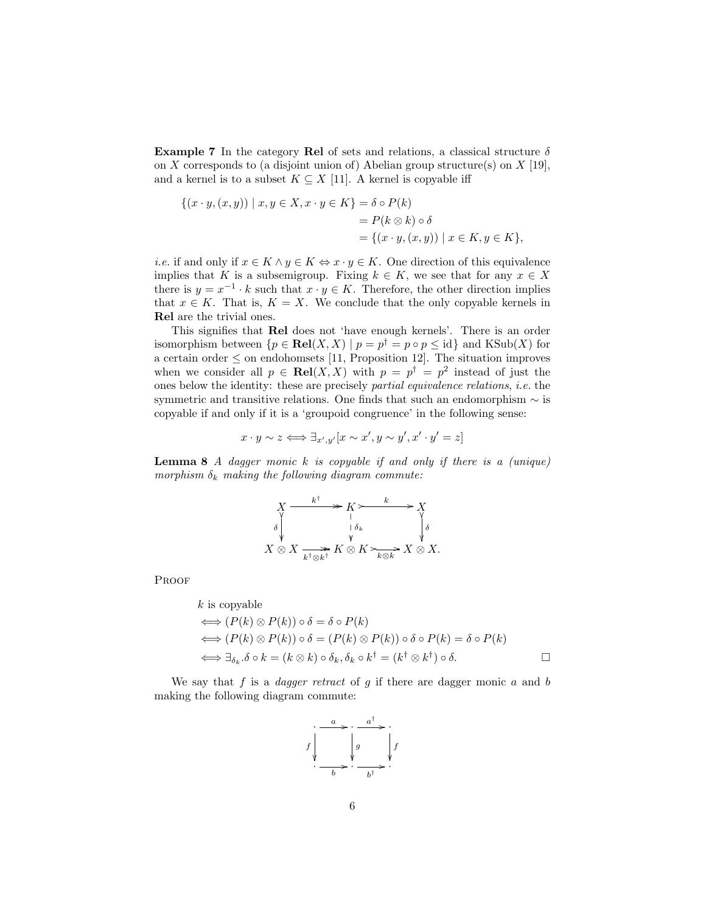**Example 7** In the category Rel of sets and relations, a classical structure  $\delta$ on  $X$  corresponds to (a disjoint union of) Abelian group structure(s) on  $X$  [19], and a kernel is to a subset  $K \subseteq X$  [11]. A kernel is copyable iff

$$
\{(x \cdot y, (x, y)) \mid x, y \in X, x \cdot y \in K\} = \delta \circ P(k)
$$
  
=  $P(k \otimes k) \circ \delta$   
=  $\{(x \cdot y, (x, y)) \mid x \in K, y \in K\},$ 

*i.e.* if and only if  $x \in K \wedge y \in K \Leftrightarrow x \cdot y \in K$ . One direction of this equivalence implies that K is a subsemigroup. Fixing  $k \in K$ , we see that for any  $x \in X$ there is  $y = x^{-1} \cdot k$  such that  $x \cdot y \in K$ . Therefore, the other direction implies that  $x \in K$ . That is,  $K = X$ . We conclude that the only copyable kernels in Rel are the trivial ones.

This signifies that Rel does not 'have enough kernels'. There is an order isomorphism between  $\{p \in \text{Rel}(X, X) \mid p = p^{\dagger} = p \circ p \leq \text{id}\}$  and  $\text{KSub}(X)$  for a certain order  $\leq$  on endohomsets [11, Proposition 12]. The situation improves when we consider all  $p \in Rel(X, X)$  with  $p = p^{\dagger} = p^2$  instead of just the ones below the identity: these are precisely partial equivalence relations, i.e. the symmetric and transitive relations. One finds that such an endomorphism  $\sim$  is copyable if and only if it is a 'groupoid congruence' in the following sense:

$$
x \cdot y \sim z \Longleftrightarrow \exists_{x',y'} [x \sim x', y \sim y', x' \cdot y' = z]
$$

**Lemma 8** A dagger monic  $k$  is copyable if and only if there is a (unique) morphism  $\delta_k$  making the following diagram commute:

$$
X \xrightarrow{k^{\dagger}} K \searrow K
$$
  
\n
$$
\delta \qquad | \delta_{k} \qquad \qquad \delta
$$
  
\n
$$
X \otimes X \xrightarrow[k^{\dagger} \otimes k^{\dagger} K \otimes K \searrow_{k \otimes k} X \otimes X.
$$

**PROOF** 

k is copyable  
\n
$$
\iff (P(k) \otimes P(k)) \circ \delta = \delta \circ P(k)
$$
\n
$$
\iff (P(k) \otimes P(k)) \circ \delta = (P(k) \otimes P(k)) \circ \delta \circ P(k) = \delta \circ P(k)
$$
\n
$$
\iff \exists_{\delta_k} . \delta \circ k = (k \otimes k) \circ \delta_k , \delta_k \circ k^{\dagger} = (k^{\dagger} \otimes k^{\dagger}) \circ \delta. \qquad \Box
$$

We say that f is a *dagger retract* of g if there are dagger monic  $a$  and  $b$ making the following diagram commute:

$$
f\downarrow \qquad \qquad \downarrow \qquad \frac{a}{b} \cdot \frac{a^{\dagger}}{b} \cdot \frac{1}{b^{\dagger}}
$$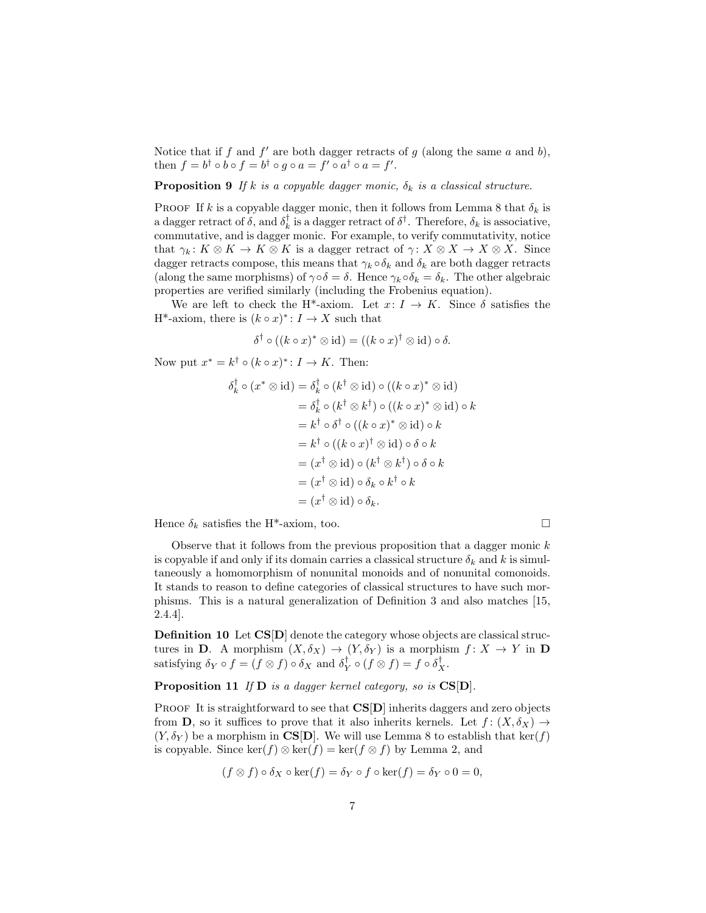Notice that if  $f$  and  $f'$  are both dagger retracts of  $g$  (along the same  $a$  and  $b$ ), then  $f = b^{\dagger} \circ b \circ f = b^{\dagger} \circ g \circ a = f' \circ a^{\dagger} \circ a = f'.$ 

**Proposition 9** If k is a copyable dagger monic,  $\delta_k$  is a classical structure.

PROOF If k is a copyable dagger monic, then it follows from Lemma 8 that  $\delta_k$  is a dagger retract of  $\delta$ , and  $\delta_k^{\dagger}$  is a dagger retract of  $\delta^{\dagger}$ . Therefore,  $\delta_k$  is associative, commutative, and is dagger monic. For example, to verify commutativity, notice that  $\gamma_k: K \otimes K \to K \otimes K$  is a dagger retract of  $\gamma: X \otimes X \to X \otimes X$ . Since dagger retracts compose, this means that  $\gamma_k \circ \delta_k$  and  $\delta_k$  are both dagger retracts (along the same morphisms) of  $\gamma \circ \delta = \delta$ . Hence  $\gamma_k \circ \delta_k = \delta_k$ . The other algebraic properties are verified similarly (including the Frobenius equation).

We are left to check the H<sup>\*</sup>-axiom. Let  $x: I \to K$ . Since  $\delta$  satisfies the H<sup>\*</sup>-axiom, there is  $(k \circ x)^*$ :  $I \to X$  such that

$$
\delta^{\dagger} \circ ((k \circ x)^{*} \otimes id) = ((k \circ x)^{\dagger} \otimes id) \circ \delta.
$$

Now put  $x^* = k^{\dagger} \circ (k \circ x)^* : I \to K$ . Then:

$$
\delta_k^{\dagger} \circ (x^* \otimes id) = \delta_k^{\dagger} \circ (k^{\dagger} \otimes id) \circ ((k \circ x)^* \otimes id)
$$
  
\n
$$
= \delta_k^{\dagger} \circ (k^{\dagger} \otimes k^{\dagger}) \circ ((k \circ x)^* \otimes id) \circ k
$$
  
\n
$$
= k^{\dagger} \circ \delta^{\dagger} \circ ((k \circ x)^* \otimes id) \circ k
$$
  
\n
$$
= k^{\dagger} \circ ((k \circ x)^{\dagger} \otimes id) \circ \delta \circ k
$$
  
\n
$$
= (x^{\dagger} \otimes id) \circ (k^{\dagger} \otimes k^{\dagger}) \circ \delta \circ k
$$
  
\n
$$
= (x^{\dagger} \otimes id) \circ \delta_k \circ k^{\dagger} \circ k
$$
  
\n
$$
= (x^{\dagger} \otimes id) \circ \delta_k.
$$

Hence  $\delta_k$  satisfies the H<sup>\*</sup>-axiom, too.

Observe that it follows from the previous proposition that a dagger monic  $k$ is copyable if and only if its domain carries a classical structure  $\delta_k$  and k is simultaneously a homomorphism of nonunital monoids and of nonunital comonoids. It stands to reason to define categories of classical structures to have such morphisms. This is a natural generalization of Definition 3 and also matches [15, 2.4.4].

Definition 10 Let CS[D] denote the category whose objects are classical structures in **D**. A morphism  $(X, \delta_X) \to (Y, \delta_Y)$  is a morphism  $f: X \to Y$  in **D** satisfying  $\delta_Y \circ f = (f \otimes f) \circ \delta_X$  and  $\delta_Y^{\dagger} \circ (f \otimes f) = f \circ \delta_X^{\dagger}$ .

#### **Proposition 11** If  $D$  is a dagger kernel category, so is  $CS[D]$ .

**PROOF** It is straightforward to see that  $CS[D]$  inherits daggers and zero objects from **D**, so it suffices to prove that it also inherits kernels. Let  $f: (X, \delta_X) \to$  $(Y, \delta_Y)$  be a morphism in CS[D]. We will use Lemma 8 to establish that ker(f) is copyable. Since ker(f)  $\otimes$  ker(f) = ker(f  $\otimes$  f) by Lemma 2, and

$$
(f \otimes f) \circ \delta_X \circ \ker(f) = \delta_Y \circ f \circ \ker(f) = \delta_Y \circ 0 = 0,
$$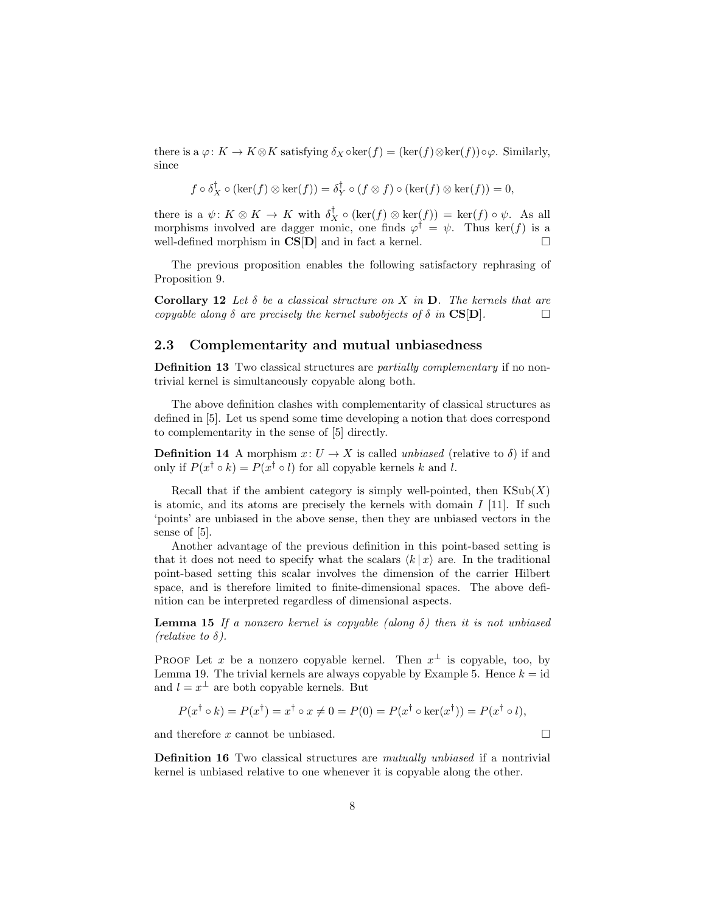there is a  $\varphi: K \to K \otimes K$  satisfying  $\delta_X \circ \ker(f) = (\ker(f) \otimes \ker(f)) \circ \varphi$ . Similarly, since

$$
f \circ \delta_X^{\dagger} \circ (\ker(f) \otimes \ker(f)) = \delta_Y^{\dagger} \circ (f \otimes f) \circ (\ker(f) \otimes \ker(f)) = 0,
$$

there is a  $\psi: K \otimes K \to K$  with  $\delta_X^{\dagger} \circ (\ker(f) \otimes \ker(f)) = \ker(f) \circ \psi$ . As all morphisms involved are dagger monic, one finds  $\varphi^{\dagger} = \psi$ . Thus ker(f) is a well-defined morphism in  $CS[D]$  and in fact a kernel.

The previous proposition enables the following satisfactory rephrasing of Proposition 9.

Corollary 12 Let  $\delta$  be a classical structure on X in D. The kernels that are copyable along  $\delta$  are precisely the kernel subobjects of  $\delta$  in CS[D].

#### 2.3 Complementarity and mutual unbiasedness

Definition 13 Two classical structures are *partially complementary* if no nontrivial kernel is simultaneously copyable along both.

The above definition clashes with complementarity of classical structures as defined in [5]. Let us spend some time developing a notion that does correspond to complementarity in the sense of [5] directly.

**Definition 14** A morphism  $x: U \to X$  is called unbiased (relative to  $\delta$ ) if and only if  $P(x^{\dagger} \circ k) = P(x^{\dagger} \circ l)$  for all copyable kernels k and l.

Recall that if the ambient category is simply well-pointed, then  $\text{KSub}(X)$ is atomic, and its atoms are precisely the kernels with domain  $I$  [11]. If such 'points' are unbiased in the above sense, then they are unbiased vectors in the sense of [5].

Another advantage of the previous definition in this point-based setting is that it does not need to specify what the scalars  $\langle k | x \rangle$  are. In the traditional point-based setting this scalar involves the dimension of the carrier Hilbert space, and is therefore limited to finite-dimensional spaces. The above definition can be interpreted regardless of dimensional aspects.

**Lemma 15** If a nonzero kernel is copyable (along  $\delta$ ) then it is not unbiased (*relative to*  $\delta$ ).

PROOF Let x be a nonzero copyable kernel. Then  $x^{\perp}$  is copyable, too, by Lemma 19. The trivial kernels are always copyable by Example 5. Hence  $k = id$ and  $l = x^{\perp}$  are both copyable kernels. But

$$
P(x^{\dagger} \circ k) = P(x^{\dagger}) = x^{\dagger} \circ x \neq 0 = P(0) = P(x^{\dagger} \circ \ker(x^{\dagger})) = P(x^{\dagger} \circ l),
$$

and therefore  $x$  cannot be unbiased.  $\Box$ 

Definition 16 Two classical structures are mutually unbiased if a nontrivial kernel is unbiased relative to one whenever it is copyable along the other.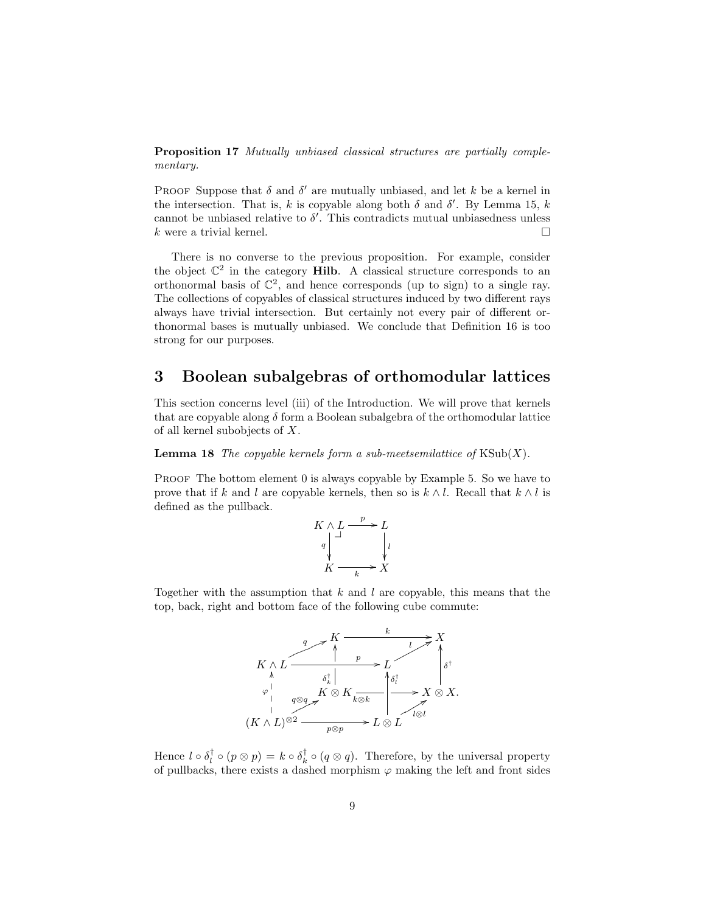Proposition 17 Mutually unbiased classical structures are partially complementary.

PROOF Suppose that  $\delta$  and  $\delta'$  are mutually unbiased, and let k be a kernel in the intersection. That is, k is copyable along both  $\delta$  and  $\delta'$ . By Lemma 15, k cannot be unbiased relative to  $\delta'$ . This contradicts mutual unbiasedness unless k were a trivial kernel.

There is no converse to the previous proposition. For example, consider the object  $\mathbb{C}^2$  in the category **Hilb**. A classical structure corresponds to an orthonormal basis of  $\mathbb{C}^2$ , and hence corresponds (up to sign) to a single ray. The collections of copyables of classical structures induced by two different rays always have trivial intersection. But certainly not every pair of different orthonormal bases is mutually unbiased. We conclude that Definition 16 is too strong for our purposes.

# 3 Boolean subalgebras of orthomodular lattices

This section concerns level (iii) of the Introduction. We will prove that kernels that are copyable along  $\delta$  form a Boolean subalgebra of the orthomodular lattice of all kernel subobjects of X.

**Lemma 18** The copyable kernels form a sub-meetsemilattice of  $KSub(X)$ .

PROOF The bottom element 0 is always copyable by Example 5. So we have to prove that if k and l are copyable kernels, then so is  $k \wedge l$ . Recall that  $k \wedge l$  is defined as the pullback.

$$
K \wedge L \xrightarrow{p} L
$$
\n
$$
q \downarrow l
$$
\n
$$
K \xrightarrow{k} X
$$

Together with the assumption that  $k$  and  $l$  are copyable, this means that the top, back, right and bottom face of the following cube commute:



Hence  $l \circ \delta_l^{\dagger} \circ (p \otimes p) = k \circ \delta_k^{\dagger} \circ (q \otimes q)$ . Therefore, by the universal property of pullbacks, there exists a dashed morphism  $\varphi$  making the left and front sides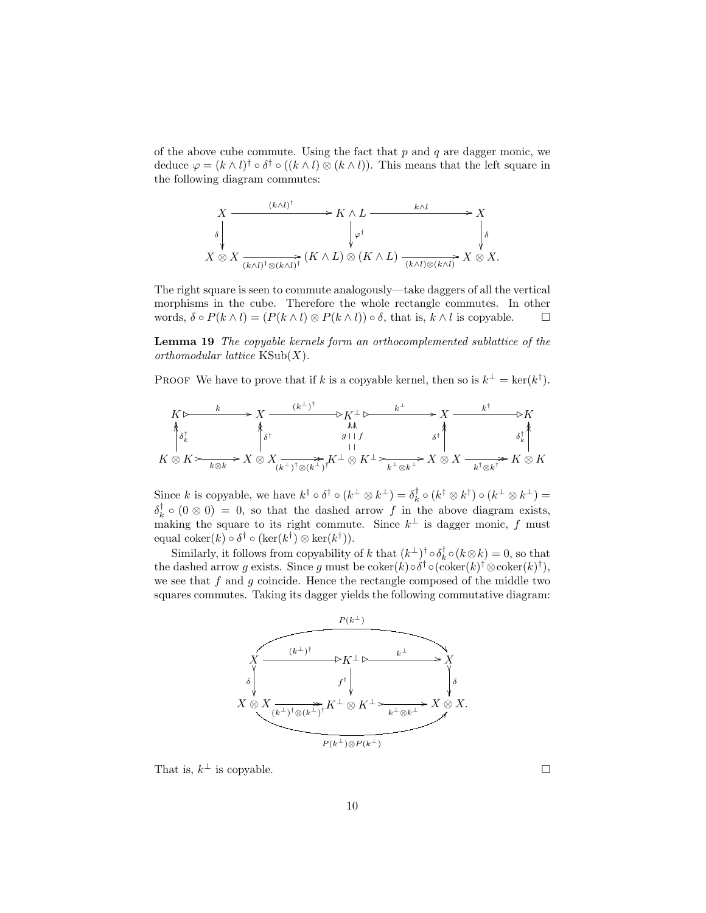of the above cube commute. Using the fact that  $p$  and  $q$  are dagger monic, we deduce  $\varphi = (k \wedge l)^{\dagger} \circ \delta^{\dagger} \circ ((k \wedge l) \otimes (k \wedge l))$ . This means that the left square in the following diagram commutes:



The right square is seen to commute analogously—take daggers of all the vertical morphisms in the cube. Therefore the whole rectangle commutes. In other words,  $\delta \circ P(k \wedge l) = (P(k \wedge l) \otimes P(k \wedge l)) \circ \delta$ , that is,  $k \wedge l$  is copyable.  $\Box$ 

Lemma 19 The copyable kernels form an orthocomplemented sublattice of the orthomodular lattice  $\text{KSub}(X)$ .

PROOF We have to prove that if k is a copyable kernel, then so is  $k^{\perp} = \text{ker}(k^{\dagger})$ .

$$
K \rightharpoonup K \rightharpoonup K \rightharpoonup K \rightharpoonup K \rightharpoonup K \rightharpoonup K \rightharpoonup K \rightharpoonup K \rightharpoonup K \rightharpoonup K \rightharpoonup K \rightharpoonup K \rightharpoonup K \rightharpoonup K \rightharpoonup K \rightharpoonup K \rightharpoonup K \rightharpoonup K \rightharpoonup K \rightharpoonup K \rightharpoonup K \rightharpoonup K \rightharpoonup K \rightharpoonup K \rightharpoonup K \rightharpoonup K \rightharpoonup K \rightharpoonup K \rightharpoonup K \rightharpoonup K \rightharpoonup K \rightharpoonup K \rightharpoonup K \rightharpoonup K \rightharpoonup K \rightharpoonup K \rightharpoonup K \rightharpoonup K \rightharpoonup K \rightharpoonup K \rightharpoonup K \rightharpoonup K \rightharpoonup K \rightharpoonup K \rightharpoonup K \rightharpoonup K \rightharpoonup K \rightharpoonup K \rightharpoonup K \rightharpoonup K \rightharpoonup K \rightharpoonup K \rightharpoonup K \rightharpoonup K \rightharpoonup K \rightharpoonup K \rightharpoonup K \rightharpoonup K \rightharpoonup K \rightharpoonup K \rightharpoonup K \rightharpoonup K \rightharpoonup K \rightharpoonup K \rightharpoonup K \rightharpoonup K \rightharpoonup K \rightharpoonup K \rightharpoonup K \rightharpoonup K \rightharpoonup K \rightharpoonup K \rightharpoonup K \rightharpoonup K \rightharpoonup K \rightharpoonup K \rightharpoonup K \rightharpoonup K \rightharpoonup K \rightharpoonup K \rightharpoonup K \rightharpoonup K \rightharpoonup K \rightharpoonup K \rightharpoonup K \rightharpoonup K \rightharpoonup K \rightharpoonup K \rightharpoonup K \rightharpoonup K \rightharpoonup K \rightharpoonup K \rightharpoonup K \rightharpoonup K \rightharpoonup K \rightharpoonup K \rightharpoonup K \rightharpoonup K \rightharpoonup K \rightharpoonup K \rightharpoonup K \rightharpoonup K \rightharpoonup K \rightharpoonup K \rightharpoonup K \rightharpoonup K \rightharpoonup K \rightharpoonup K \r
$$

Since k is copyable, we have  $k^{\dagger} \circ \delta^{\dagger} \circ (k^{\perp} \otimes k^{\perp}) = \delta^{\dagger}_k \circ (k^{\dagger} \otimes k^{\dagger}) \circ (k^{\perp} \otimes k^{\perp}) =$  $\delta_k^{\dagger} \circ (0 \otimes 0) = 0$ , so that the dashed arrow f in the above diagram exists, making the square to its right commute. Since  $k^{\perp}$  is dagger monic, f must equal coker $(k) \circ \delta^{\dagger} \circ (\ker(k^{\dagger}) \otimes \ker(k^{\dagger})).$ 

Similarly, it follows from copyability of k that  $(k^{\perp})^{\dagger} \circ \delta_k^{\dagger} \circ (k \otimes k) = 0$ , so that the dashed arrow g exists. Since g must be  $\operatorname{coker}(k) \circ \delta^{\dagger} \circ (\operatorname{coker}(k)^{\dagger} \otimes \operatorname{coker}(k)^{\dagger}),$ we see that f and q coincide. Hence the rectangle composed of the middle two squares commutes. Taking its dagger yields the following commutative diagram:



That is,  $k^{\perp}$  is copyable.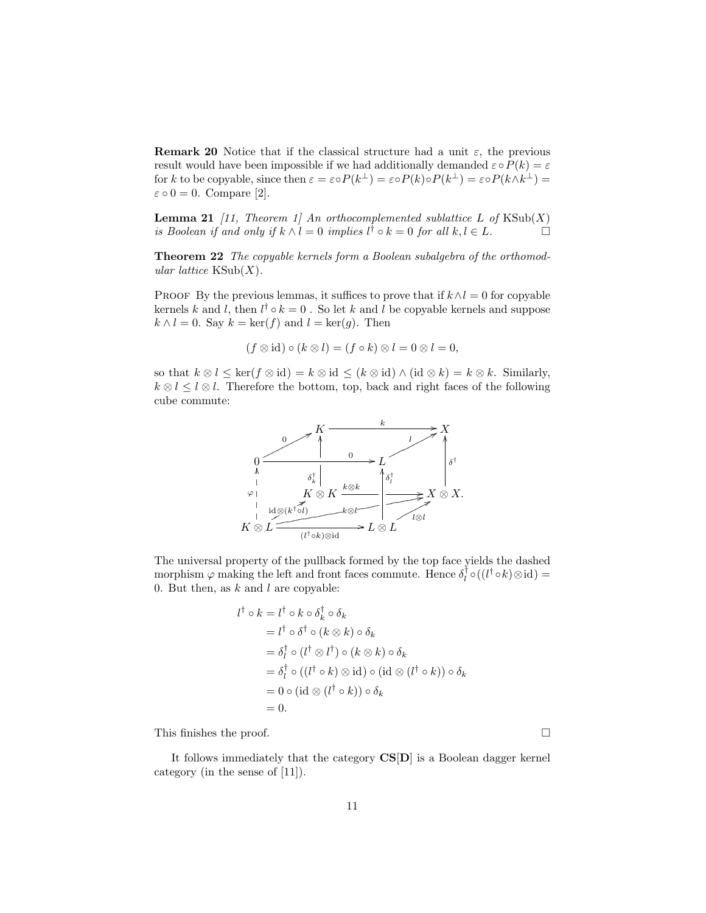**Remark 20** Notice that if the classical structure had a unit  $\varepsilon$ , the previous result would have been impossible if we had additionally demanded  $\varepsilon \circ P(k) = \varepsilon$ for k to be copyable, since then  $\varepsilon = \varepsilon \circ P(k^{\perp}) = \varepsilon \circ P(k) \circ P(k^{\perp}) = \varepsilon \circ P(k \wedge k^{\perp}) =$  $\varepsilon \circ 0 = 0$ . Compare [2].

**Lemma 21** [11, Theorem 1] An orthocomplemented sublattice L of  $\text{KSub}(X)$ is Boolean if and only if  $k \wedge l = 0$  implies  $l^{\dagger} \circ k = 0$  for all  $k, l \in L$ .

**Theorem 22** The copyable kernels form a Boolean subalgebra of the orthomodular lattice  $\text{KSub}(X)$ .

PROOF By the previous lemmas, it suffices to prove that if  $k \wedge l = 0$  for copyable kernels k and l, then  $l^{\dagger} \circ k = 0$ . So let k and l be copyable kernels and suppose  $k \wedge l = 0$ . Say  $k = \ker(f)$  and  $l = \ker(g)$ . Then

$$
(f \otimes id) \circ (k \otimes l) = (f \circ k) \otimes l = 0 \otimes l = 0,
$$

so that  $k \otimes l \leq \ker(f \otimes id) = k \otimes id \leq (k \otimes id) \wedge (id \otimes k) = k \otimes k$ . Similarly,  $k \otimes l \leq l \otimes l$ . Therefore the bottom, top, back and right faces of the following cube commute:



The universal property of the pullback formed by the top face yields the dashed morphism  $\varphi$  making the left and front faces commute. Hence  $\delta_l^{\dagger} \circ ((l^{\dagger} \circ k) \otimes id) =$ 0. But then, as  $k$  and  $l$  are copyable:

$$
l^{\dagger} \circ k = l^{\dagger} \circ k \circ \delta_k^{\dagger} \circ \delta_k
$$
  
=  $l^{\dagger} \circ \delta^{\dagger} \circ (k \otimes k) \circ \delta_k$   
=  $\delta_l^{\dagger} \circ (l^{\dagger} \otimes l^{\dagger}) \circ (k \otimes k) \circ \delta_k$   
=  $\delta_l^{\dagger} \circ ((l^{\dagger} \circ k) \otimes \text{id}) \circ (\text{id} \otimes (l^{\dagger} \circ k)) \circ \delta_k$   
=  $0 \circ (\text{id} \otimes (l^{\dagger} \circ k)) \circ \delta_k$   
= 0.

This finishes the proof.

It follows immediately that the category CS[D] is a Boolean dagger kernel category (in the sense of [11]).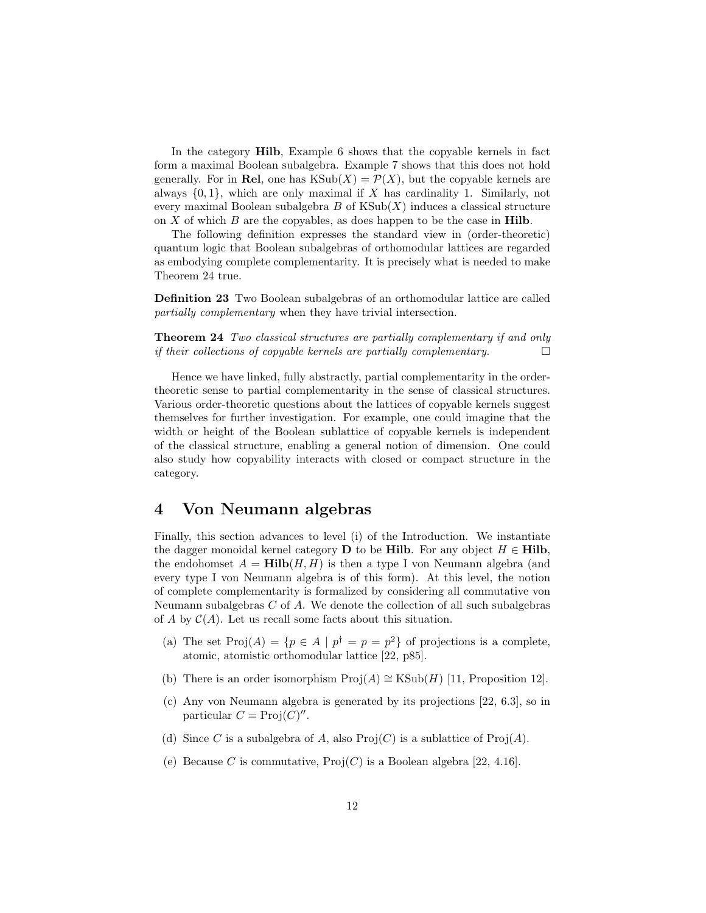In the category Hilb, Example 6 shows that the copyable kernels in fact form a maximal Boolean subalgebra. Example 7 shows that this does not hold generally. For in Rel, one has  $\text{KSub}(X) = \mathcal{P}(X)$ , but the copyable kernels are always  $\{0, 1\}$ , which are only maximal if X has cardinality 1. Similarly, not every maximal Boolean subalgebra  $B$  of  $\text{KSub}(X)$  induces a classical structure on  $X$  of which  $B$  are the copyables, as does happen to be the case in **Hilb**.

The following definition expresses the standard view in (order-theoretic) quantum logic that Boolean subalgebras of orthomodular lattices are regarded as embodying complete complementarity. It is precisely what is needed to make Theorem 24 true.

Definition 23 Two Boolean subalgebras of an orthomodular lattice are called partially complementary when they have trivial intersection.

Theorem 24 Two classical structures are partially complementary if and only if their collections of copyable kernels are partially complementary.

Hence we have linked, fully abstractly, partial complementarity in the ordertheoretic sense to partial complementarity in the sense of classical structures. Various order-theoretic questions about the lattices of copyable kernels suggest themselves for further investigation. For example, one could imagine that the width or height of the Boolean sublattice of copyable kernels is independent of the classical structure, enabling a general notion of dimension. One could also study how copyability interacts with closed or compact structure in the category.

### 4 Von Neumann algebras

Finally, this section advances to level (i) of the Introduction. We instantiate the dagger monoidal kernel category **D** to be **Hilb**. For any object  $H \in$  **Hilb**, the endohomset  $A = Hilb(H, H)$  is then a type I von Neumann algebra (and every type I von Neumann algebra is of this form). At this level, the notion of complete complementarity is formalized by considering all commutative von Neumann subalgebras  $C$  of  $A$ . We denote the collection of all such subalgebras of A by  $\mathcal{C}(A)$ . Let us recall some facts about this situation.

- (a) The set  $\text{Proj}(A) = \{p \in A \mid p^{\dagger} = p = p^2\}$  of projections is a complete, atomic, atomistic orthomodular lattice [22, p85].
- (b) There is an order isomorphism  $\text{Proj}(A) \cong \text{KSub}(H)$  [11, Proposition 12].
- (c) Any von Neumann algebra is generated by its projections [22, 6.3], so in particular  $C = \text{Proj}(C)''$ .
- (d) Since C is a subalgebra of A, also  $\text{Proj}(C)$  is a sublattice of  $\text{Proj}(A)$ .
- (e) Because C is commutative,  $Proj(C)$  is a Boolean algebra [22, 4.16].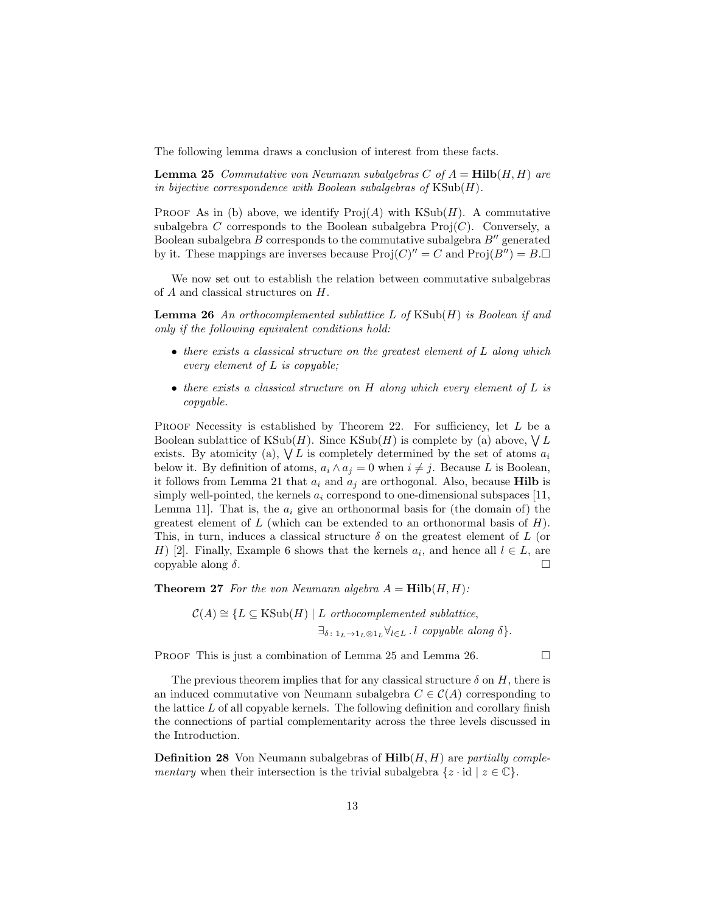The following lemma draws a conclusion of interest from these facts.

**Lemma 25** Commutative von Neumann subalgebras C of  $A = Hilb(H, H)$  are in bijective correspondence with Boolean subalgebras of  $KSub(H)$ .

PROOF As in (b) above, we identify  $\text{Proj}(A)$  with  $\text{KSub}(H)$ . A commutative subalgebra C corresponds to the Boolean subalgebra  $\text{Proj}(C)$ . Conversely, a Boolean subalgebra  $B$  corresponds to the commutative subalgebra  $B''$  generated by it. These mappings are inverses because  $\text{Proj}(C)^{\prime\prime} = C$  and  $\text{Proj}(B^{\prime\prime}) = B \square$ 

We now set out to establish the relation between commutative subalgebras of A and classical structures on H.

**Lemma 26** An orthocomplemented sublattice  $L$  of  $KSub(H)$  is Boolean if and only if the following equivalent conditions hold:

- there exists a classical structure on the greatest element of L along which every element of L is copyable;
- there exists a classical structure on  $H$  along which every element of  $L$  is copyable.

PROOF Necessity is established by Theorem 22. For sufficiency, let  $L$  be a Boolean sublattice of  $\text{KSub}(H)$ . Since  $\text{KSub}(H)$  is complete by (a) above,  $\bigvee L$ exists. By atomicity (a),  $\bigvee L$  is completely determined by the set of atoms  $a_i$ below it. By definition of atoms,  $a_i \wedge a_j = 0$  when  $i \neq j$ . Because L is Boolean, it follows from Lemma 21 that  $a_i$  and  $a_j$  are orthogonal. Also, because **Hilb** is simply well-pointed, the kernels  $a_i$  correspond to one-dimensional subspaces [11, Lemma 11. That is, the  $a_i$  give an orthonormal basis for (the domain of) the greatest element of L (which can be extended to an orthonormal basis of  $H$ ). This, in turn, induces a classical structure  $\delta$  on the greatest element of L (or H) [2]. Finally, Example 6 shows that the kernels  $a_i$ , and hence all  $l \in L$ , are copyable along  $\delta$ .

**Theorem 27** For the von Neumann algebra  $A = Hilb(H, H)$ :

$$
C(A) \cong \{ L \subseteq \text{KSub}(H) \mid L \text{ orthoncomplemented sublattice},
$$
  

$$
\exists_{\delta \colon 1_L \to 1_L \otimes 1_L} \forall_{l \in L} \ldots \text{copyable along } \delta \}.
$$

PROOF This is just a combination of Lemma 25 and Lemma 26.

The previous theorem implies that for any classical structure  $\delta$  on H, there is an induced commutative von Neumann subalgebra  $C \in \mathcal{C}(A)$  corresponding to the lattice  $L$  of all copyable kernels. The following definition and corollary finish the connections of partial complementarity across the three levels discussed in the Introduction.

**Definition 28** Von Neumann subalgebras of  $\text{Hilb}(H, H)$  are partially complementary when their intersection is the trivial subalgebra  $\{z \cdot id \mid z \in \mathbb{C}\}.$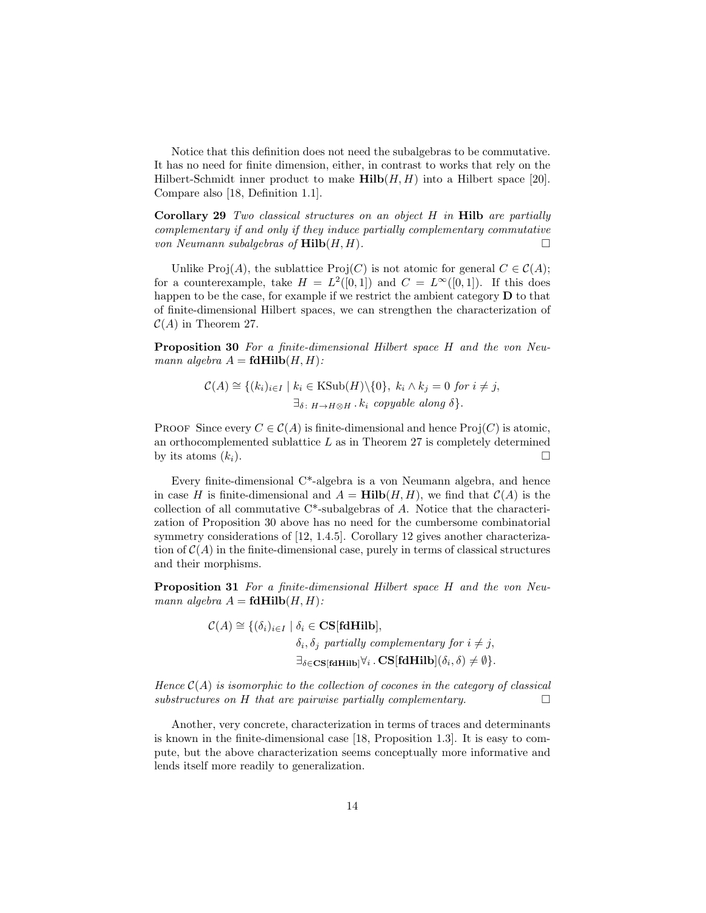Notice that this definition does not need the subalgebras to be commutative. It has no need for finite dimension, either, in contrast to works that rely on the Hilbert-Schmidt inner product to make  $\text{Hilb}(H, H)$  into a Hilbert space [20]. Compare also [18, Definition 1.1].

**Corollary 29** Two classical structures on an object  $H$  in **Hilb** are partially complementary if and only if they induce partially complementary commutative von Neumann subalgebras of  $\text{Hilb}(H, H)$ .

Unlike Proj(A), the sublattice Proj(C) is not atomic for general  $C \in C(A)$ ; for a counterexample, take  $H = L^2([0,1])$  and  $C = L^{\infty}([0,1])$ . If this does happen to be the case, for example if we restrict the ambient category **D** to that of finite-dimensional Hilbert spaces, we can strengthen the characterization of  $C(A)$  in Theorem 27.

Proposition 30 For a finite-dimensional Hilbert space H and the von Neumann algebra  $A = \text{fdHilb}(H, H)$ :

$$
\mathcal{C}(A) \cong \{(k_i)_{i \in I} \mid k_i \in \text{KSub}(H) \setminus \{0\}, k_i \wedge k_j = 0 \text{ for } i \neq j, \newline \exists \delta \colon H \to H \otimes H \text{ . } k_i \text{ copyable along } \delta \}.
$$

PROOF Since every  $C \in \mathcal{C}(A)$  is finite-dimensional and hence Proj $(C)$  is atomic, an orthocomplemented sublattice  $L$  as in Theorem 27 is completely determined by its atoms  $(k_i)$ .

Every finite-dimensional C\*-algebra is a von Neumann algebra, and hence in case H is finite-dimensional and  $A = Hilb(H, H)$ , we find that  $C(A)$  is the collection of all commutative C\*-subalgebras of A. Notice that the characterization of Proposition 30 above has no need for the cumbersome combinatorial symmetry considerations of [12, 1.4.5]. Corollary 12 gives another characterization of  $\mathcal{C}(A)$  in the finite-dimensional case, purely in terms of classical structures and their morphisms.

Proposition 31 For a finite-dimensional Hilbert space H and the von Neumann algebra  $A = \text{fdHilb}(H, H)$ :

$$
\mathcal{C}(A) \cong \{ (\delta_i)_{i \in I} \mid \delta_i \in \mathbf{CS}[\textbf{fdHilb}],
$$
  
\n
$$
\delta_i, \delta_j \text{ partially complementary for } i \neq j,
$$
  
\n
$$
\exists_{\delta \in \mathbf{CS}[\textbf{fdHilb}]} \forall_i \cdot \mathbf{CS}[\textbf{fdHilb}](\delta_i, \delta) \neq \emptyset \}.
$$

Hence  $C(A)$  is isomorphic to the collection of cocones in the category of classical substructures on H that are pairwise partially complementary.

Another, very concrete, characterization in terms of traces and determinants is known in the finite-dimensional case [18, Proposition 1.3]. It is easy to compute, but the above characterization seems conceptually more informative and lends itself more readily to generalization.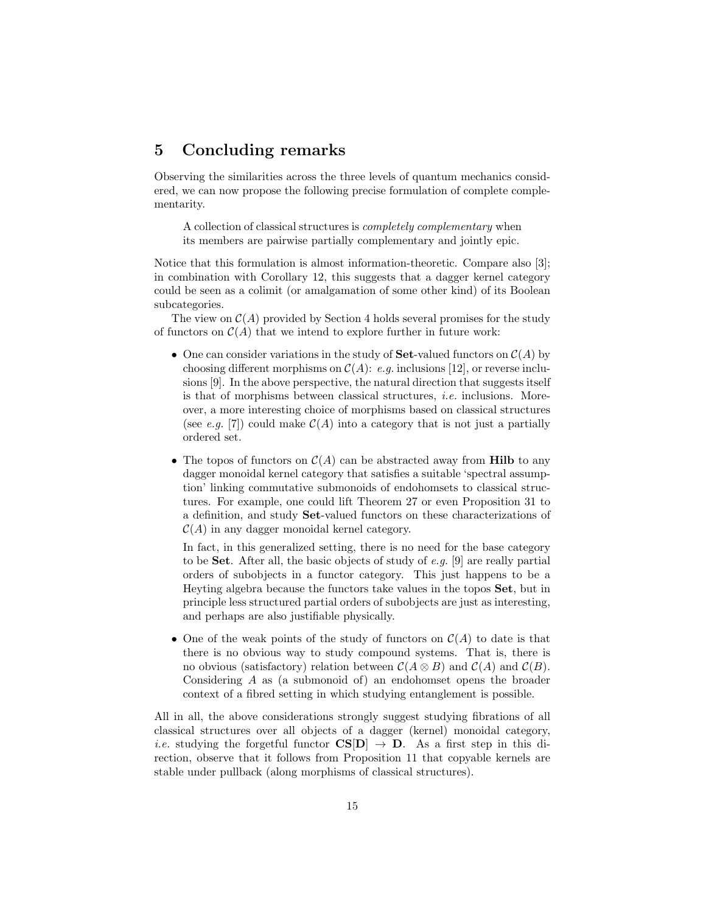# 5 Concluding remarks

Observing the similarities across the three levels of quantum mechanics considered, we can now propose the following precise formulation of complete complementarity.

A collection of classical structures is *completely complementary* when its members are pairwise partially complementary and jointly epic.

Notice that this formulation is almost information-theoretic. Compare also [3]; in combination with Corollary 12, this suggests that a dagger kernel category could be seen as a colimit (or amalgamation of some other kind) of its Boolean subcategories.

The view on  $\mathcal{C}(A)$  provided by Section 4 holds several promises for the study of functors on  $\mathcal{C}(A)$  that we intend to explore further in future work:

- One can consider variations in the study of **Set**-valued functors on  $C(A)$  by choosing different morphisms on  $\mathcal{C}(A)$ : e.g. inclusions [12], or reverse inclusions [9]. In the above perspective, the natural direction that suggests itself is that of morphisms between classical structures, *i.e.* inclusions. Moreover, a more interesting choice of morphisms based on classical structures (see e.g. [7]) could make  $C(A)$  into a category that is not just a partially ordered set.
- The topos of functors on  $\mathcal{C}(A)$  can be abstracted away from **Hilb** to any dagger monoidal kernel category that satisfies a suitable 'spectral assumption' linking commutative submonoids of endohomsets to classical structures. For example, one could lift Theorem 27 or even Proposition 31 to a definition, and study Set-valued functors on these characterizations of  $\mathcal{C}(A)$  in any dagger monoidal kernel category.

In fact, in this generalized setting, there is no need for the base category to be **Set**. After all, the basic objects of study of e.g. [9] are really partial orders of subobjects in a functor category. This just happens to be a Heyting algebra because the functors take values in the topos Set, but in principle less structured partial orders of subobjects are just as interesting, and perhaps are also justifiable physically.

• One of the weak points of the study of functors on  $\mathcal{C}(A)$  to date is that there is no obvious way to study compound systems. That is, there is no obvious (satisfactory) relation between  $\mathcal{C}(A \otimes B)$  and  $\mathcal{C}(A)$  and  $\mathcal{C}(B)$ . Considering A as (a submonoid of) an endohomset opens the broader context of a fibred setting in which studying entanglement is possible.

All in all, the above considerations strongly suggest studying fibrations of all classical structures over all objects of a dagger (kernel) monoidal category, *i.e.* studying the forgetful functor  $CS[D] \rightarrow D$ . As a first step in this direction, observe that it follows from Proposition 11 that copyable kernels are stable under pullback (along morphisms of classical structures).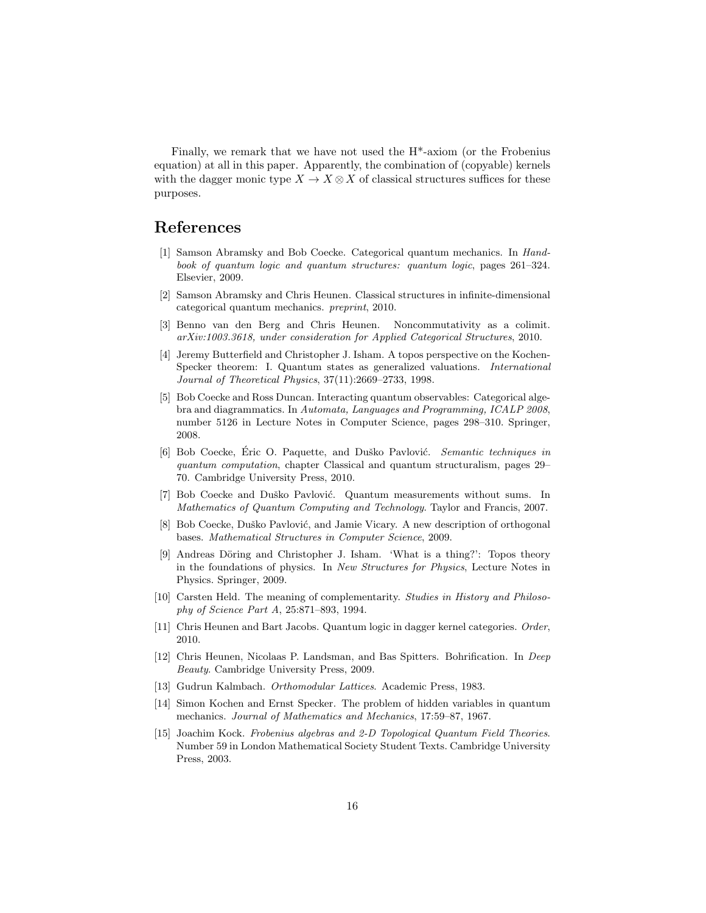Finally, we remark that we have not used the H\*-axiom (or the Frobenius equation) at all in this paper. Apparently, the combination of (copyable) kernels with the dagger monic type  $X \to X \otimes X$  of classical structures suffices for these purposes.

# References

- [1] Samson Abramsky and Bob Coecke. Categorical quantum mechanics. In Handbook of quantum logic and quantum structures: quantum logic, pages 261–324. Elsevier, 2009.
- [2] Samson Abramsky and Chris Heunen. Classical structures in infinite-dimensional categorical quantum mechanics. preprint, 2010.
- [3] Benno van den Berg and Chris Heunen. Noncommutativity as a colimit. arXiv:1003.3618, under consideration for Applied Categorical Structures, 2010.
- [4] Jeremy Butterfield and Christopher J. Isham. A topos perspective on the Kochen-Specker theorem: I. Quantum states as generalized valuations. International Journal of Theoretical Physics, 37(11):2669–2733, 1998.
- [5] Bob Coecke and Ross Duncan. Interacting quantum observables: Categorical algebra and diagrammatics. In Automata, Languages and Programming, ICALP 2008, number 5126 in Lecture Notes in Computer Science, pages 298–310. Springer, 2008.
- [6] Bob Coecke, Eric O. Paquette, and Duško Pavlović. Semantic techniques in quantum computation, chapter Classical and quantum structuralism, pages 29– 70. Cambridge University Press, 2010.
- [7] Bob Coecke and Duško Pavlović. Quantum measurements without sums. In Mathematics of Quantum Computing and Technology. Taylor and Francis, 2007.
- [8] Bob Coecke, Duško Pavlović, and Jamie Vicary. A new description of orthogonal bases. Mathematical Structures in Computer Science, 2009.
- [9] Andreas Döring and Christopher J. Isham. 'What is a thing?': Topos theory in the foundations of physics. In New Structures for Physics, Lecture Notes in Physics. Springer, 2009.
- [10] Carsten Held. The meaning of complementarity. Studies in History and Philosophy of Science Part A, 25:871–893, 1994.
- [11] Chris Heunen and Bart Jacobs. Quantum logic in dagger kernel categories. Order, 2010.
- [12] Chris Heunen, Nicolaas P. Landsman, and Bas Spitters. Bohrification. In Deep Beauty. Cambridge University Press, 2009.
- [13] Gudrun Kalmbach. Orthomodular Lattices. Academic Press, 1983.
- [14] Simon Kochen and Ernst Specker. The problem of hidden variables in quantum mechanics. Journal of Mathematics and Mechanics, 17:59–87, 1967.
- [15] Joachim Kock. Frobenius algebras and 2-D Topological Quantum Field Theories. Number 59 in London Mathematical Society Student Texts. Cambridge University Press, 2003.